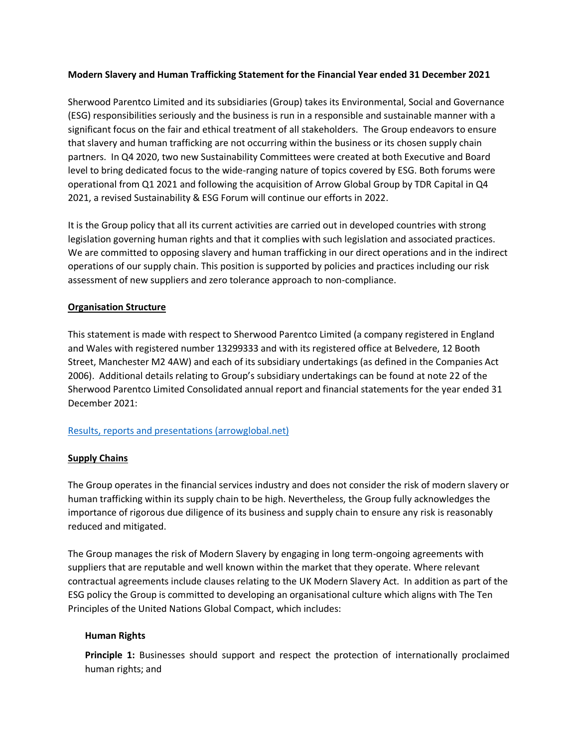### **Modern Slavery and Human Trafficking Statement for the Financial Year ended 31 December 2021**

Sherwood Parentco Limited and its subsidiaries (Group) takes its Environmental, Social and Governance (ESG) responsibilities seriously and the business is run in a responsible and sustainable manner with a significant focus on the fair and ethical treatment of all stakeholders. The Group endeavors to ensure that slavery and human trafficking are not occurring within the business or its chosen supply chain partners. In Q4 2020, two new Sustainability Committees were created at both Executive and Board level to bring dedicated focus to the wide-ranging nature of topics covered by ESG. Both forums were operational from Q1 2021 and following the acquisition of Arrow Global Group by TDR Capital in Q4 2021, a revised Sustainability & ESG Forum will continue our efforts in 2022.

It is the Group policy that all its current activities are carried out in developed countries with strong legislation governing human rights and that it complies with such legislation and associated practices. We are committed to opposing slavery and human trafficking in our direct operations and in the indirect operations of our supply chain. This position is supported by policies and practices including our risk assessment of new suppliers and zero tolerance approach to non-compliance.

## **Organisation Structure**

This statement is made with respect to Sherwood Parentco Limited (a company registered in England and Wales with registered number 13299333 and with its registered office at Belvedere, 12 Booth Street, Manchester M2 4AW) and each of its subsidiary undertakings (as defined in the Companies Act 2006). Additional details relating to Group's subsidiary undertakings can be found at note 22 of the Sherwood Parentco Limited Consolidated annual report and financial statements for the year ended 31 December 2021:

# [Results, reports and presentations \(arrowglobal.net\)](https://arrowglobal.net/en/who-we-are/debt-investors/results-reports-presentations1.html)

# **Supply Chains**

The Group operates in the financial services industry and does not consider the risk of modern slavery or human trafficking within its supply chain to be high. Nevertheless, the Group fully acknowledges the importance of rigorous due diligence of its business and supply chain to ensure any risk is reasonably reduced and mitigated.

The Group manages the risk of Modern Slavery by engaging in long term-ongoing agreements with suppliers that are reputable and well known within the market that they operate. Where relevant contractual agreements include clauses relating to the UK Modern Slavery Act. In addition as part of the ESG policy the Group is committed to developing an organisational culture which aligns with The Ten Principles of the United Nations Global Compact, which includes:

### **Human Rights**

**[Principle 1:](https://www.unglobalcompact.org/what-is-gc/mission/principles/principle-1)** Businesses should support and respect the protection of internationally proclaimed human rights; and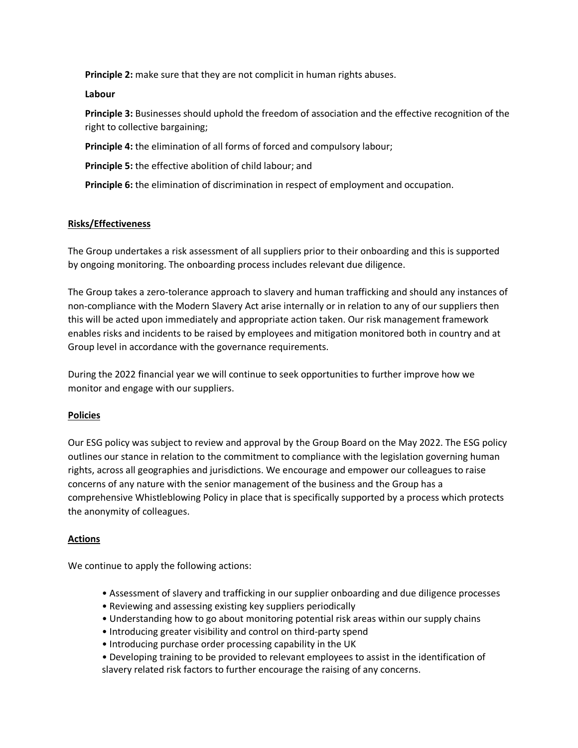**[Principle 2:](https://www.unglobalcompact.org/what-is-gc/mission/principles/principle-2)** make sure that they are not complicit in human rights abuses.

**Labour**

**[Principle 3:](https://www.unglobalcompact.org/what-is-gc/mission/principles/principle-3)** Businesses should uphold the freedom of association and the effective recognition of the right to collective bargaining;

**[Principle 4:](https://www.unglobalcompact.org/what-is-gc/mission/principles/principle-4)** the elimination of all forms of forced and compulsory labour;

**[Principle 5:](https://www.unglobalcompact.org/what-is-gc/mission/principles/principle-5)** the effective abolition of child labour; and

**[Principle 6:](https://www.unglobalcompact.org/what-is-gc/mission/principles/principle-6)** the elimination of discrimination in respect of employment and occupation.

## **Risks/Effectiveness**

The Group undertakes a risk assessment of all suppliers prior to their onboarding and this is supported by ongoing monitoring. The onboarding process includes relevant due diligence.

The Group takes a zero-tolerance approach to slavery and human trafficking and should any instances of non-compliance with the Modern Slavery Act arise internally or in relation to any of our suppliers then this will be acted upon immediately and appropriate action taken. Our risk management framework enables risks and incidents to be raised by employees and mitigation monitored both in country and at Group level in accordance with the governance requirements.

During the 2022 financial year we will continue to seek opportunities to further improve how we monitor and engage with our suppliers.

### **Policies**

Our ESG policy was subject to review and approval by the Group Board on the May 2022. The ESG policy outlines our stance in relation to the commitment to compliance with the legislation governing human rights, across all geographies and jurisdictions. We encourage and empower our colleagues to raise concerns of any nature with the senior management of the business and the Group has a comprehensive Whistleblowing Policy in place that is specifically supported by a process which protects the anonymity of colleagues.

### **Actions**

We continue to apply the following actions:

- Assessment of slavery and trafficking in our supplier onboarding and due diligence processes
- Reviewing and assessing existing key suppliers periodically
- Understanding how to go about monitoring potential risk areas within our supply chains
- Introducing greater visibility and control on third-party spend
- Introducing purchase order processing capability in the UK
- Developing training to be provided to relevant employees to assist in the identification of slavery related risk factors to further encourage the raising of any concerns.